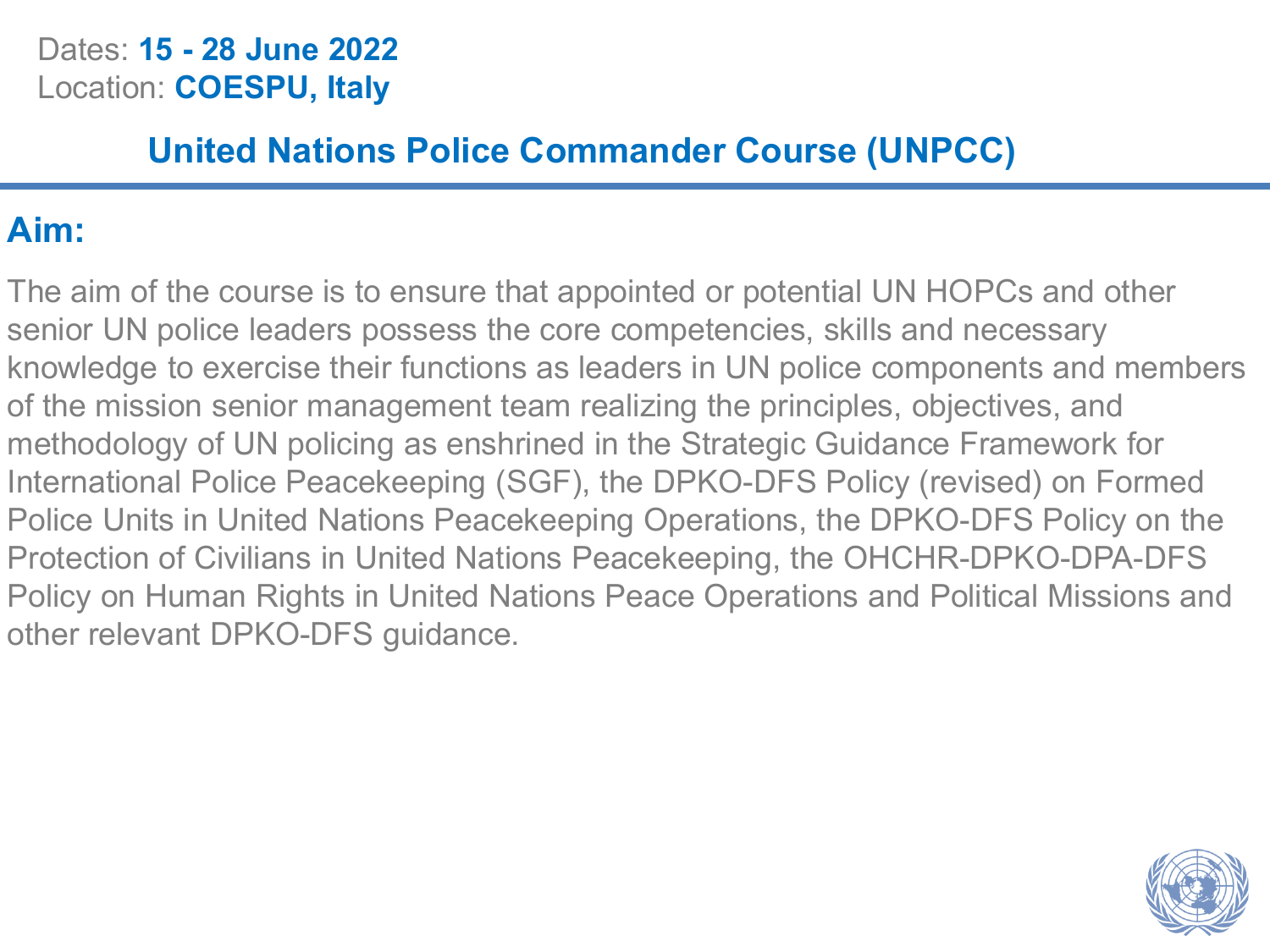#### Dates: **15 - 28 June 2022** Location: **COESPU, Italy**

### **United Nations Police Commander Course (UNPCC)**

### **Aim:**

The aim of the course is to ensure that appointed or potential UN HOPCs and other senior UN police leaders possess the core competencies, skills and necessary knowledge to exercise their functions as leaders in UN police components and members of the mission senior management team realizing the principles, objectives, and methodology of UN policing as enshrined in the Strategic Guidance Framework for International Police Peacekeeping (SGF), the DPKO-DFS Policy (revised) on Formed Police Units in United Nations Peacekeeping Operations, the DPKO-DFS Policy on the Protection of Civilians in United Nations Peacekeeping, the OHCHR-DPKO-DPA-DFS Policy on Human Rights in United Nations Peace Operations and Political Missions and other relevant DPKO-DFS guidance.

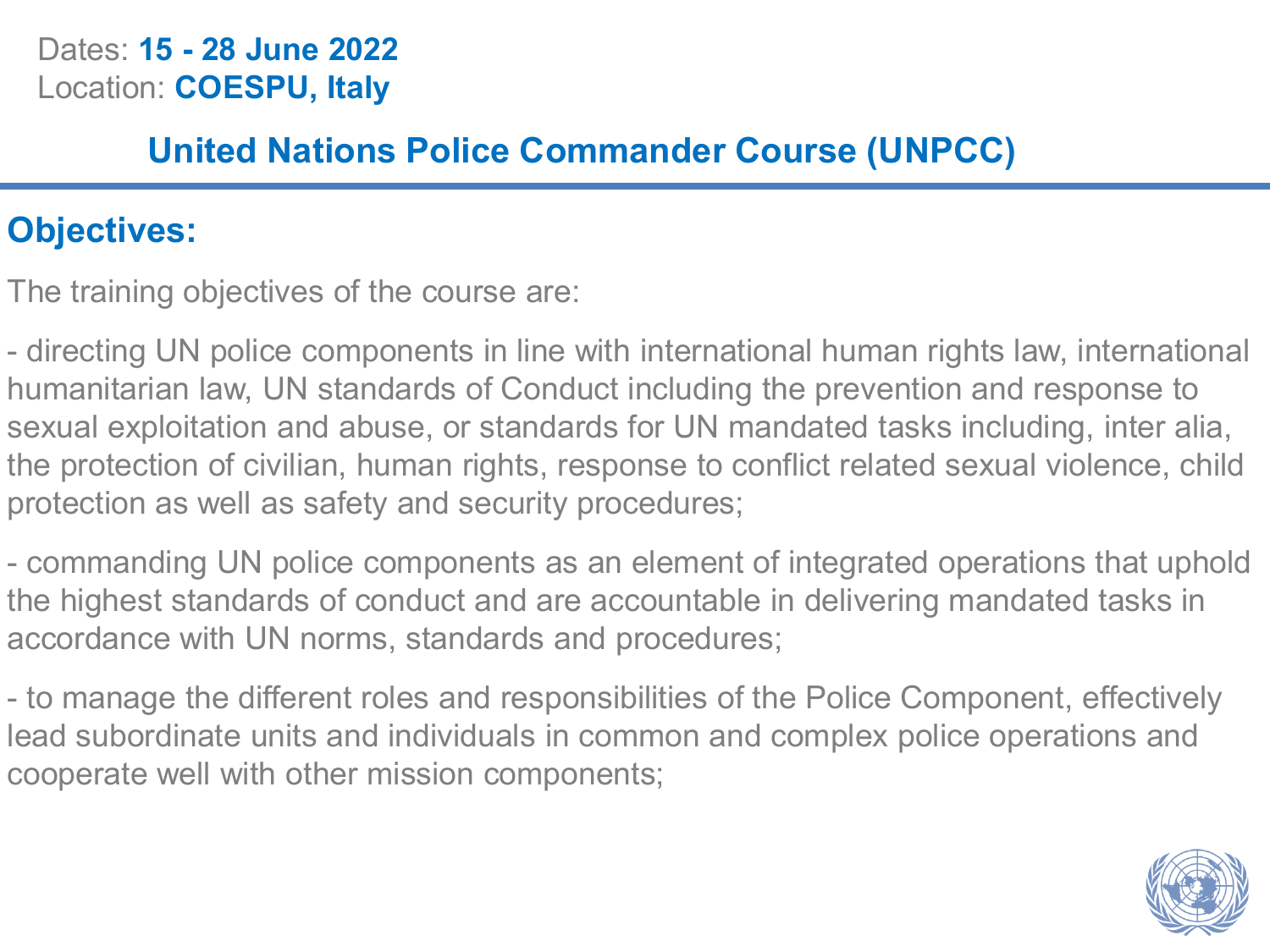#### Dates: **15 - 28 June 2022** Location: **COESPU, Italy**

### **United Nations Police Commander Course (UNPCC)**

### **Objectives:**

The training objectives of the course are:

- directing UN police components in line with international human rights law, international humanitarian law, UN standards of Conduct including the prevention and response to sexual exploitation and abuse, or standards for UN mandated tasks including, inter alia, the protection of civilian, human rights, response to conflict related sexual violence, child protection as well as safety and security procedures;

- commanding UN police components as an element of integrated operations that uphold the highest standards of conduct and are accountable in delivering mandated tasks in accordance with UN norms, standards and procedures;

- to manage the different roles and responsibilities of the Police Component, effectively lead subordinate units and individuals in common and complex police operations and cooperate well with other mission components;